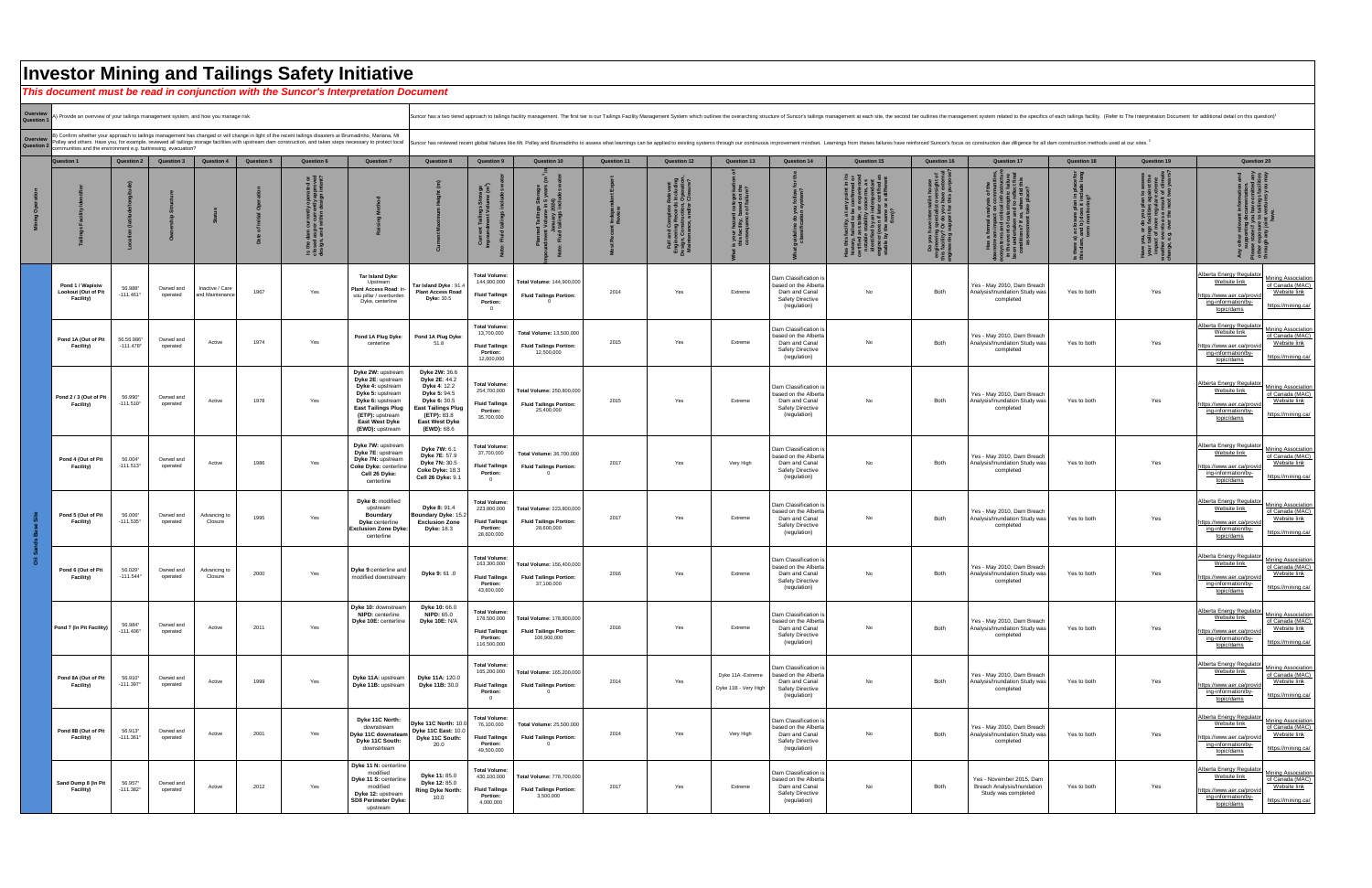|                      | Investor Mining and Tailings Safety Initiative<br>This document must be read in conjunction with the Suncor's Interpretation Document |                                        |                       |                                                |                                        |                                                                                                                                                         |                                                                                                                                                                                                |                                                                                                                                                                                                                                |                                                                                               |                                                                            |                    |                                                                                                                                         |                                                                   |                                                                                                           |                                   |                                                                                                                                            |                                                                                      |                    |                                           |  |  |
|----------------------|---------------------------------------------------------------------------------------------------------------------------------------|----------------------------------------|-----------------------|------------------------------------------------|----------------------------------------|---------------------------------------------------------------------------------------------------------------------------------------------------------|------------------------------------------------------------------------------------------------------------------------------------------------------------------------------------------------|--------------------------------------------------------------------------------------------------------------------------------------------------------------------------------------------------------------------------------|-----------------------------------------------------------------------------------------------|----------------------------------------------------------------------------|--------------------|-----------------------------------------------------------------------------------------------------------------------------------------|-------------------------------------------------------------------|-----------------------------------------------------------------------------------------------------------|-----------------------------------|--------------------------------------------------------------------------------------------------------------------------------------------|--------------------------------------------------------------------------------------|--------------------|-------------------------------------------|--|--|
|                      |                                                                                                                                       |                                        |                       |                                                |                                        |                                                                                                                                                         |                                                                                                                                                                                                |                                                                                                                                                                                                                                |                                                                                               |                                                                            |                    |                                                                                                                                         |                                                                   |                                                                                                           |                                   |                                                                                                                                            |                                                                                      |                    |                                           |  |  |
| Overview<br>Question | A) Provide an overview of your tailings management system, and how you manage risk                                                    |                                        |                       |                                                |                                        |                                                                                                                                                         |                                                                                                                                                                                                | Suncor has a two tiered approach to tailings facility management. The first tier is our Tailings Facility Management System which outlines the overarching structure of Suncor's tailings management at each site, the second  |                                                                                               |                                                                            |                    |                                                                                                                                         |                                                                   |                                                                                                           |                                   |                                                                                                                                            |                                                                                      |                    |                                           |  |  |
| Overview<br>Question | communities and the environment e.g. buttressing, evacuation?                                                                         |                                        |                       |                                                |                                        | 3) Confirm whether your approach to tailings management has changed or will change in light of the recent tailings disasters at Brumadinho, Mariana, Mt |                                                                                                                                                                                                | Suncor has reviewed recessary to protect local failures like Menangle, reviewed all tailings storage facilities with upstream dam construction, and taken steps necessary to protect local Suncor has reviewed recent global f |                                                                                               |                                                                            |                    |                                                                                                                                         |                                                                   |                                                                                                           |                                   |                                                                                                                                            |                                                                                      |                    |                                           |  |  |
|                      | <b>Question</b>                                                                                                                       | <b>Question 2</b><br><b>Question 3</b> |                       | <b>Question 4</b>                              | <b>Question 5</b><br><b>Question 6</b> |                                                                                                                                                         | <b>Question 7</b>                                                                                                                                                                              | <b>Question 8</b>                                                                                                                                                                                                              | <b>Question 9</b>                                                                             | <b>Question 10</b>                                                         | <b>Question 11</b> | <b>Question 12</b>                                                                                                                      | <b>Question 13</b>                                                | <b>Question 14</b>                                                                                        | <b>Question 15</b>                | <b>Question 16</b>                                                                                                                         | <b>Question 17</b>                                                                   | <b>Question 18</b> | <b>Question 19</b>                        |  |  |
|                      |                                                                                                                                       |                                        |                       |                                                |                                        | ု ဖ<br><u>ی 9 م</u><br>9 19 19                                                                                                                          |                                                                                                                                                                                                |                                                                                                                                                                                                                                |                                                                                               |                                                                            |                    | ייפושאוז<br>s Including<br>, Operation<br>r Closure<br>Complete<br>ng Record<br>nstruction<br>း - ၁<br>( - ၁<br>Fuji<br>Engin<br>Design | es<br>the<br>ref<br>rtegor<br>ad on<br>failur<br>s you<br>this fa |                                                                                                           | history <sub>;</sub><br>rertified | Do you have internal/in house<br>engineering specialist oversight<br>this facility? Or do you have externarimaering sunport for this purpo | narysis<br>on cor<br>ical inf                                                        |                    | $\frac{1}{2}$ $\frac{1}{2}$ $\frac{1}{2}$ |  |  |
|                      | Pond 1 / Wapisiw<br><b>Lookout (Out of Pit</b><br><b>Facility)</b>                                                                    | 56.988°<br>$-111.461°$                 | operated              | Owned and   Inactive / Care<br>and Maintenance | 1967                                   | Yes                                                                                                                                                     | Tar Island Dyke:<br>Plant Access Road:<br>situ pillar / overburden<br>Dyke, centerline                                                                                                         | Tar Island Dyke: 91.4<br><b>Plant Access Road</b><br><b>Dyke: 30.5</b>                                                                                                                                                         | <b>Total Volume:</b><br>144,900,000<br><b>Fluid Tailings</b><br><b>Portion:</b>               | Total Volume: 144,900,000<br><b>Fluid Tailings Portion:</b>                | 2014               | Yes                                                                                                                                     | Extreme                                                           | Dam Classification<br>based on the Alberta<br>Dam and Canal<br><b>Safety Directive</b><br>(regulation)    | No.                               | <b>Both</b>                                                                                                                                | Yes - May 2010, Dam Breach<br>Analysis/Inundation Study was<br>completed             | Yes to both        | Yes                                       |  |  |
|                      | Pond 1A (Out of Pit<br><b>Facility)</b>                                                                                               | 56.56.986°<br>$-111.478$ °             | Owned and<br>operated | Active                                         | 1974                                   | Yes                                                                                                                                                     | Pond 1A Plug Dyke:<br>centerline                                                                                                                                                               | Pond 1A Plug Dyke:<br>51.8                                                                                                                                                                                                     | <b>Total Volume:</b><br>13,700,000<br><b>Fluid Tailings</b><br><b>Portion:</b><br>12,600,000  | Total Volume: 13,500,000<br><b>Fluid Tailings Portion:</b><br>12,500,000   | 2015               | Yes                                                                                                                                     | Extreme                                                           | Dam Classification i<br>based on the Alberta<br>Dam and Canal<br>Safety Directive<br>(regulation)         | No                                | <b>Both</b>                                                                                                                                | Yes - May 2010, Dam Breach<br>Analysis/Inundation Study was<br>completed             | Yes to both        | Yes                                       |  |  |
|                      | Pond 2 / 3 (Out of Pit<br><b>Facility)</b>                                                                                            | 56.990°<br>$-111.510^{\circ}$          | Owned and<br>operated | Active                                         | 1978                                   | Yes                                                                                                                                                     | Dyke 2W: upstream<br>Dyke 2E: upstream<br>Dyke 4: upstream<br>Dyke 5: upstream<br>Dyke 6: upstream<br><b>East Tailings Plug</b><br>(ETP): upstream<br><b>East West Dyke</b><br>(EWD): upstream | <b>Dyke 2W: 36.6</b><br>Dyke 2E: 44.2<br><b>Dyke 4: 12.2</b><br><b>Dyke 5: 94.5</b><br><b>Dyke 6: 30.5</b><br><b>East Tailings Plug</b><br>(ETP): 83.8<br><b>East West Dyke</b><br><b>(EWD):</b> 68.6                          | <b>Total Volume:</b><br>254,700,000<br><b>Fluid Tailings</b><br>Portion:<br>35,700,000        | Total Volume: 250,800,000<br><b>Fluid Tailings Portion:</b><br>25,400,000  | 2015               | Yes                                                                                                                                     | Extreme                                                           | Dam Classification i<br>based on the Alberta<br>Dam and Canal<br><b>Safety Directive</b><br>(regulation)  | <b>No</b>                         | <b>Both</b>                                                                                                                                | Yes - May 2010, Dam Breach<br>Analysis/Inundation Study was<br>completed             | Yes to both        | Yes                                       |  |  |
|                      | Pond 4 (Out of Pit<br><b>Facility)</b>                                                                                                | 56.004°<br>$-111.513^{\circ}$          | Owned and<br>operated | Active                                         | 1986                                   | Yes                                                                                                                                                     | Dyke 7W: upstream<br>Dyke 7E: upstream<br>Dyke 7N: upstream<br>Coke Dyke: centerline<br>Cell 26 Dyke:<br>centerline                                                                            | Dyke 7W: 6.1<br><b>Dyke 7E: 57.9</b><br>Dyke 7N: 30.5<br>Coke Dyke: 18.3<br>Cell 26 Dyke: 9.1                                                                                                                                  | <b>Total Volume:</b><br>37,700,000<br><b>Fluid Tailings</b><br>Portion:                       | <b>Total Volume: 36,700,000</b><br><b>Fluid Tailings Portion:</b>          | 2017               | Yes                                                                                                                                     | Very High                                                         | Dam Classification i<br>based on the Alberta<br>Dam and Canal<br><b>Safety Directive</b><br>(regulation)  | No                                | <b>Both</b>                                                                                                                                | Yes - May 2010, Dam Breach<br>Analysis/Inundation Study was<br>completed             | Yes to both        | Yes                                       |  |  |
|                      | Pond 5 (Out of Pit<br><b>Facility)</b>                                                                                                | 56.006°<br>$-111.535^{\circ}$          | Owned and<br>operated | Advancing to<br>Closure                        | 1995                                   | Yes                                                                                                                                                     | Dyke 8: modified<br>upstream<br><b>Boundary</b><br>Dyke:centerline<br><b>Exclusion Zone Dyke:</b><br>centerline                                                                                | <b>Dyke 8: 91.4</b><br>Boundary Dyke: 15.2<br><b>Exclusion Zone</b><br><b>Dyke: 18.3</b>                                                                                                                                       | <b>Total Volume:</b><br>223,800,000<br><b>Fluid Tailings</b><br>Portion:<br>28,600,000        | Total Volume: 223,800,000<br><b>Fluid Tailings Portion:</b><br>28,600,000  | 2017               | Yes                                                                                                                                     | Extreme                                                           | Dam Classification i<br>based on the Alberta<br>Dam and Canal<br>Safety Directive<br>(regulation)         | No                                | <b>Both</b>                                                                                                                                | Yes - May 2010, Dam Breach<br>Analysis/Inundation Study was<br>completed             | Yes to both        | Yes                                       |  |  |
| $\overline{\circ}$   | Pond 6 (Out of Pit<br><b>Facility)</b>                                                                                                | 56.029°<br>$-111.544^{\circ}$          | Owned and<br>operated | Advancing to<br>Closure                        | 2000                                   | Yes                                                                                                                                                     | Dyke 9:centerline and<br>modified downstream                                                                                                                                                   | Dyke 9: 61 .0                                                                                                                                                                                                                  | <b>Total Volume:</b><br>163,300,000<br><b>Fluid Tailings</b><br><b>Portion:</b><br>43,600,000 | Total Volume: 156,400,000<br><b>Fluid Tailings Portion:</b><br>37,100,000  | 2016               | Yes                                                                                                                                     | Extreme                                                           | Dam Classification i<br>based on the Alberta<br>Dam and Canal<br><b>Safety Directive</b><br>(regulation)  | No                                | Both                                                                                                                                       | Yes - May 2010, Dam Breach<br>Analysis/Inundation Study was<br>completed             | Yes to both        | Yes                                       |  |  |
|                      | Pond 7 (In Pit Facility)                                                                                                              | 56.984°<br>$-111.406^{\circ}$          | Owned and<br>operated | Active                                         | 2011                                   | Yes                                                                                                                                                     | Dyke 10: downstream<br><b>NIPD:</b> centerline<br>Dyke 10E: centerline                                                                                                                         | Dyke 10: 66.0<br><b>NIPD: 65.0</b><br><b>Dyke 10E: N/A</b>                                                                                                                                                                     | <b>Total Volume:</b><br>178,500,000<br><b>Fluid Tailings</b><br>Portion:<br>116,500,000       | Total Volume: 178,800,000<br><b>Fluid Tailings Portion:</b><br>106,900,000 | 2016               | Yes                                                                                                                                     | Extreme                                                           | Dam Classification i<br>based on the Alberta<br>Dam and Canal<br><b>Safety Directive</b><br>(regulation)  | No                                | Both                                                                                                                                       | Yes - May 2010, Dam Breach<br>Analysis/Inundation Study was<br>completed             | Yes to both        | Yes                                       |  |  |
|                      | Pond 8A (Out of Pit<br><b>Facility)</b>                                                                                               | 56.910°<br>$-111.397°$                 | Owned and<br>operated | Active                                         | 1999                                   | Yes                                                                                                                                                     | Dyke 11A: upstream<br>Dyke 11B: upstream                                                                                                                                                       | Dyke 11A: 120.0<br>Dyke 11B: 30.0                                                                                                                                                                                              | <b>Total Volume:</b><br>165,200,000<br><b>Fluid Tailings</b><br><b>Portion:</b>               | Total Volume: 165,200,000<br><b>Fluid Tailings Portion:</b>                | 2014               | Yes                                                                                                                                     | Dyke 11A - Extreme<br>Dyke 11B - Very High                        | Dam Classification i<br>based on the Alberta<br>Dam and Canal<br><b>Safety Directive</b><br>(regulation)  | No                                | <b>Both</b>                                                                                                                                | Yes - May 2010, Dam Breach<br>Analysis/Inundation Study was<br>completed             | Yes to both        | Yes                                       |  |  |
|                      | Pond 8B (Out of Pit<br><b>Facility)</b>                                                                                               | 56.913°<br>$-111.361°$                 | Owned and<br>operated | Active                                         | 2001                                   | Yes                                                                                                                                                     | Dyke 11C North:<br>downstream<br>Dyke 11C downsteam<br>Dyke 11C South:<br>downstrteam                                                                                                          | Dyke 11C North: 10.<br>Dyke 11C East: 10.0<br>Dyke 11C South:<br>20.0                                                                                                                                                          | <b>Total Volume:</b><br>76,100,000<br><b>Fluid Tailings</b><br><b>Portion:</b><br>49,500,000  | <b>Total Volume: 25,500,000</b><br><b>Fluid Tailings Portion:</b>          | 2014               | Yes                                                                                                                                     | Very High                                                         | Dam Classification is<br>based on the Alberta<br>Dam and Canal<br><b>Safety Directive</b><br>(regulation) | No                                | <b>Both</b>                                                                                                                                | Yes - May 2010, Dam Breach<br>Analysis/Inundation Study was<br>completed             | Yes to both        | Yes                                       |  |  |
|                      | Sand Dump 8 (In Pi<br><b>Facility)</b>                                                                                                | 56.957°<br>$-111.382^{\circ}$          | Owned and<br>operated | Active                                         | 2012                                   | Yes                                                                                                                                                     | Dyke 11 N: centerline<br>modified<br>Dyke 11 S: centerline<br>modified<br>Dyke 12: upstream<br><b>SD8 Perimeter Dyke:</b><br>upstream                                                          | <b>Dyke 11: 85.0</b><br><b>Dyke 12: 85.0</b><br><b>Ring Dyke North:</b><br>10.0                                                                                                                                                | <b>Total Volume:</b><br>430,100,000<br><b>Fluid Tailings</b><br><b>Portion:</b><br>4,000,000  | Total Volume: 778,700,000<br><b>Fluid Tailings Portion:</b><br>3,500,000   | 2017               | Yes                                                                                                                                     | Extreme                                                           | Dam Classification is<br>based on the Alberta<br>Dam and Canal<br><b>Safety Directive</b><br>(regulation) | No                                | Both                                                                                                                                       | Yes - November 2015, Dam<br><b>Breach Analysis/Inundation</b><br>Study was completed | Yes to both        | Yes                                       |  |  |

Suncor has a two tiered approach to tailings facility management. The first tier is our Tailings Facility Management System which outlines the overarching structure of Suncor's tailings management system related to the spe

**Question 20 ecosystems and critical infrastructure this facility? Or do you have external downstream impact on communities, engineering support for this purpose? Is there a) a closure plan in place for this dam, and b) does it include long weather events as a result of climate**   $\overline{5}$   $\overline{1}$ **change, e.g. over the next two years? been undertaken and to reflect final Have you, or do you plan to assess engineering specialist oversight of in the event of catastrophic failure Any other relevant information and supporting documentation. Please state if you have omitted any other exposure to tailings facilities through any joint ventures you may have.**to assess<br>jainst the<br>extreme<br>t of climate **your tailings facilities against the**  nave internal/in house<br>g specialist oversight c<br>? Or do you have exterr<br>support for this purpos **conditions? If so, when did this impact of more regular extreme Do you have internal/in house Has a formal analysis of the assessment take place?** ិ គូ<br>ក្នុង គូ **term monitoring?** plan<br>es ag<br>jular<br>result  $\equiv$ Have you, or do you p<br>your tailings facilitie<br>impact of more regu<br>weather events as a re<br>change, e.g. over the n  $\hat{a}$ ចិ<br>and<br><sub>tarm</sub>  $\widehat{\mathfrak{a}}$  . ិ ដែ  $8.59$  $\overline{\mathbf{a}}$   $\overline{\mathbf{c}}$ Alberta Energy Regulator **Mining Association** Website link Yes - May 2010, Dam Breach of Canada (MAC) **Both** Analysis/Inundation Study was Yes to both The Mes [Website link](https://mining.ca/) [https://www.aer.ca/provid](https://www.aer.ca/providing-information/by-topic/dams) completed [ing-information/by](https://www.aer.ca/providing-information/by-topic/dams)<https://mining.ca/> [topic/dams](https://www.aer.ca/providing-information/by-topic/dams) Alberta Energy Regulat **Mining Association** [Website link](https://www.aer.ca/providing-information/by-topic/dams)  Yes - May 2010, Dam Breach of Canada (MAC) Analysis/Inundation Study was **Both** Yes to both  $\qquad \qquad$  Yes [Website link](https://mining.ca/) [https://www.aer.ca/provid](https://www.aer.ca/providing-information/by-topic/dams) completed [ing-information/by](https://www.aer.ca/providing-information/by-topic/dams)<https://mining.ca/> [topic/dams](https://www.aer.ca/providing-information/by-topic/dams) Alberta Energy Regulat [Mining Association](https://mining.ca/)  [Website link](https://www.aer.ca/providing-information/by-topic/dams)  of Canada (MAC) Yes - May 2010, Dam Breach **Both** Analysis/Inundation Study was Yes to both The Yes [Website link](https://mining.ca/) https://www.aer.ca/prov completed [ing-information/by](https://www.aer.ca/providing-information/by-topic/dams)<https://mining.ca/> [topic/dams](https://www.aer.ca/providing-information/by-topic/dams) Alberta Energy Regulat **Mining Association** [Website link](https://www.aer.ca/providing-information/by-topic/dams)  Yes - May 2010, Dam Breach of Canada (MAC) Analysis/Inundation Study was **Both** Yes to both The Yes <u>[Website link](https://mining.ca/)</u> [https://www.aer.ca/provid](https://www.aer.ca/providing-information/by-topic/dams) completed [ing-information/by](https://www.aer.ca/providing-information/by-topic/dams)<https://mining.ca/> [topic/dams](https://www.aer.ca/providing-information/by-topic/dams) Alberta Energy Regulator [Mining Association](https://mining.ca/)  Website link [of Canada \(MAC\)](https://mining.ca/)  Yes - May 2010, Dam Breach **Both** Analysis/Inundation Study was Yes to both  $Y$ es [Website link](https://mining.ca/) [https://www.aer.ca/provid](https://www.aer.ca/providing-information/by-topic/dams) completed [ing-information/by](https://www.aer.ca/providing-information/by-topic/dams)<https://mining.ca/> [topic/dams](https://www.aer.ca/providing-information/by-topic/dams) Alberta Energy Regulat **Mining Association** Website link Yes - May 2010, Dam Breach [of Canada \(MAC\)](https://mining.ca/)  **Both** Yes to both Testal Controller and the Yesta Analysis/Inundation Study was [Website link](https://mining.ca/) [https://www.aer.ca/provid](https://www.aer.ca/providing-information/by-topic/dams) completed [ing-information/by](https://www.aer.ca/providing-information/by-topic/dams)<https://mining.ca/> [topic/dams](https://www.aer.ca/providing-information/by-topic/dams) Alberta Energy Regula **Mining Association** Website link Yes - May 2010, Dam Breach of Canada (MAC) **Both** Yes to both Testal Controller Vest Analysis/Inundation Study was [Website link](https://mining.ca/) [https://www.aer.ca/provid](https://www.aer.ca/providing-information/by-topic/dams) completed [ing-information/by](https://www.aer.ca/providing-information/by-topic/dams)<https://mining.ca/> [topic/dams](https://www.aer.ca/providing-information/by-topic/dams) Alberta Energy Regula **Mining Association** Website link [of Canada \(MAC\)](https://mining.ca/)  Yes - May 2010, Dam Breach Analysis/Inundation Study was **Both** Yes to both The Yes [Website link](https://mining.ca/) [https://www.aer.ca/provid](https://www.aer.ca/providing-information/by-topic/dams) completed [ing-information/by](https://www.aer.ca/providing-information/by-topic/dams)<https://mining.ca/> [topic/dams](https://www.aer.ca/providing-information/by-topic/dams) Alberta Energy Regulat **Mining Association** [Website link](https://www.aer.ca/providing-information/by-topic/dams)  [of Canada \(MAC\)](https://mining.ca/)  Yes - May 2010, Dam Breach Analysis/Inundation Study was **Both** Yes to both The Yes [Website link](https://mining.ca/) [https://www.aer.ca/provid](https://www.aer.ca/providing-information/by-topic/dams) completed [ing-information/by](https://www.aer.ca/providing-information/by-topic/dams)<https://mining.ca/> [topic/dams](https://www.aer.ca/providing-information/by-topic/dams) Alberta Energy Regula **Mining Association** [Website link](https://www.aer.ca/providing-information/by-topic/dams)  Yes - November 2015, Dam of Canada (MAC) **Both** Breach Analysis/Inundation Yes to both Testa Controller Vest [Website link](https://mining.ca/) [https://www.aer.ca/provid](https://www.aer.ca/providing-information/by-topic/dams) Study was completed [ing-information/by](https://www.aer.ca/providing-information/by-topic/dams)<https://mining.ca/> [topic/dams](https://www.aer.ca/providing-information/by-topic/dams)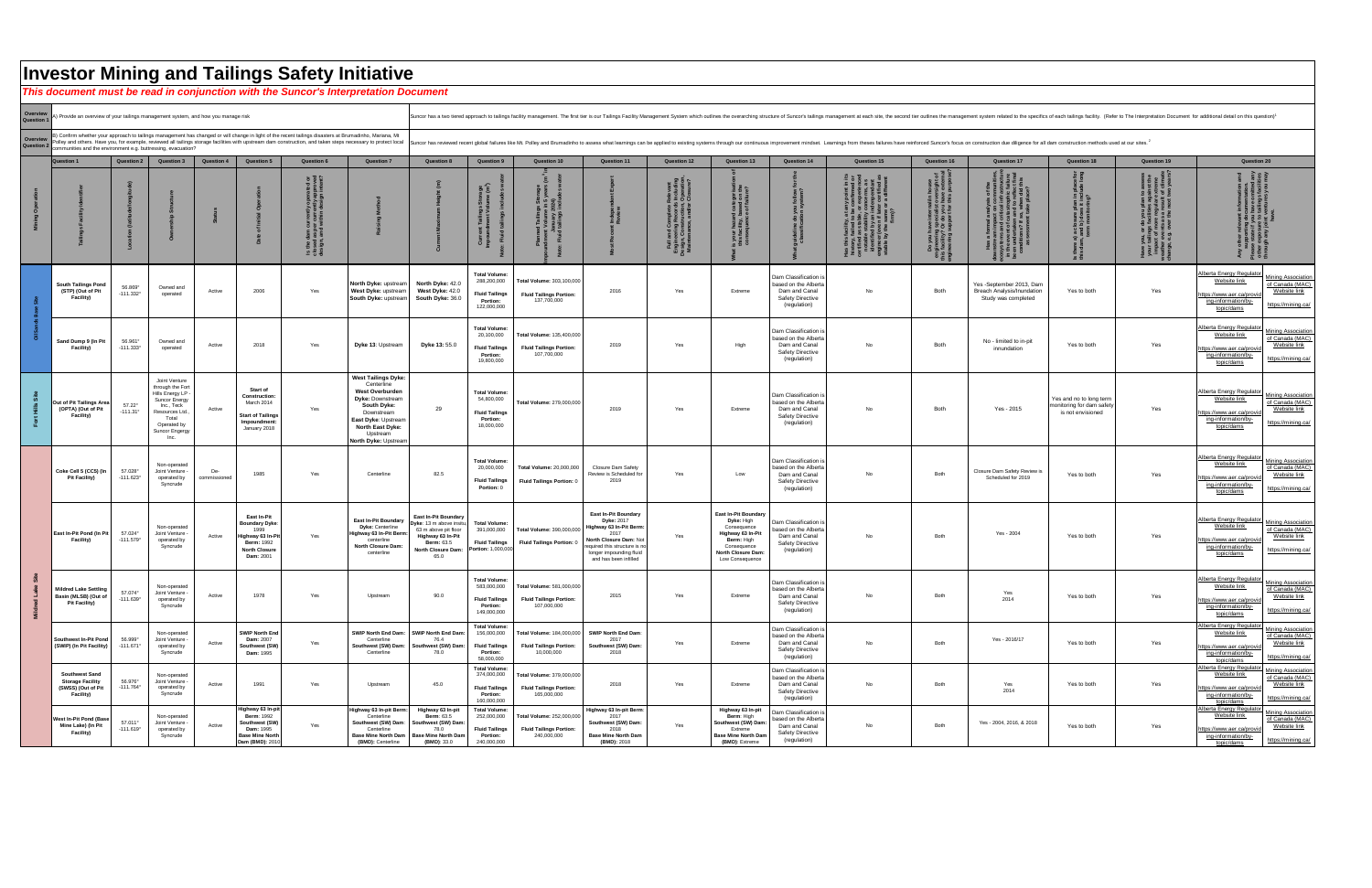|                      | <b>Investor Mining and Tailings Safety Initiative</b><br>This document must be read in conjunction with the Suncor's Interpretation Document |                                    |                                                                                                                                                                       |                     |                                                                                                                                           |                                                                                                                                                                                                                                                                                                                       |                                                                                                                                                                                                                         |                                                                                                                                                                                                                                |                                                                                                |                                                                            |                                                                                                                                                                                            |                                                                                                                          |                                                                                                                                                           |                                                                                                           |                    |                                           |                                                                                      |                                                                          |                                                                      |                                                                                                                                                                                                                   |  |
|----------------------|----------------------------------------------------------------------------------------------------------------------------------------------|------------------------------------|-----------------------------------------------------------------------------------------------------------------------------------------------------------------------|---------------------|-------------------------------------------------------------------------------------------------------------------------------------------|-----------------------------------------------------------------------------------------------------------------------------------------------------------------------------------------------------------------------------------------------------------------------------------------------------------------------|-------------------------------------------------------------------------------------------------------------------------------------------------------------------------------------------------------------------------|--------------------------------------------------------------------------------------------------------------------------------------------------------------------------------------------------------------------------------|------------------------------------------------------------------------------------------------|----------------------------------------------------------------------------|--------------------------------------------------------------------------------------------------------------------------------------------------------------------------------------------|--------------------------------------------------------------------------------------------------------------------------|-----------------------------------------------------------------------------------------------------------------------------------------------------------|-----------------------------------------------------------------------------------------------------------|--------------------|-------------------------------------------|--------------------------------------------------------------------------------------|--------------------------------------------------------------------------|----------------------------------------------------------------------|-------------------------------------------------------------------------------------------------------------------------------------------------------------------------------------------------------------------|--|
|                      |                                                                                                                                              |                                    |                                                                                                                                                                       |                     |                                                                                                                                           |                                                                                                                                                                                                                                                                                                                       |                                                                                                                                                                                                                         |                                                                                                                                                                                                                                |                                                                                                |                                                                            |                                                                                                                                                                                            |                                                                                                                          |                                                                                                                                                           |                                                                                                           |                    |                                           |                                                                                      |                                                                          |                                                                      |                                                                                                                                                                                                                   |  |
| Overview<br>Question | A) Provide an overview of your tailings management system, and how you manage risk                                                           |                                    |                                                                                                                                                                       |                     |                                                                                                                                           |                                                                                                                                                                                                                                                                                                                       |                                                                                                                                                                                                                         | Suncor has a two tiered approach to tailings facility management. The first tier is our Tailings Facility Management. System which outlines the overarching structure of Suncor's tailings management ayestem related to the s |                                                                                                |                                                                            |                                                                                                                                                                                            |                                                                                                                          |                                                                                                                                                           |                                                                                                           |                    |                                           |                                                                                      |                                                                          |                                                                      |                                                                                                                                                                                                                   |  |
| Overview<br>Question | communities and the environment e.g. buttressing, evacuation?                                                                                |                                    |                                                                                                                                                                       |                     |                                                                                                                                           | Confirm whether your approach to tailings management has changed or will change in light of the recent tailings disasters at Brumadinho, Mariana, Mt<br>Polley and others. Have you, for example, reviewed all tailings storage facilities with upstream dam construction, and taken steps necessary to protect local |                                                                                                                                                                                                                         | Suncor has reviewed recent global failures like Mt. Polley and Brumadinho to assess what learnings can be applied to existing systems through our continuous improvement mindset. Learnings from theses failures have reinforc |                                                                                                |                                                                            |                                                                                                                                                                                            |                                                                                                                          |                                                                                                                                                           |                                                                                                           |                    |                                           |                                                                                      |                                                                          |                                                                      |                                                                                                                                                                                                                   |  |
|                      | <b>Question 1</b>                                                                                                                            | <b>Question 2</b>                  | <b>Question 3</b>                                                                                                                                                     | <b>Question 4</b>   | <b>Question 5</b>                                                                                                                         | <b>Question 6</b>                                                                                                                                                                                                                                                                                                     | <b>Question 7</b>                                                                                                                                                                                                       | <b>Question 8</b>                                                                                                                                                                                                              | <b>Question 9</b>                                                                              | <b>Question 10</b>                                                         | <b>Question 11</b>                                                                                                                                                                         | <b>Question 12</b>                                                                                                       | <b>Question 13</b>                                                                                                                                        | <b>Question 14</b>                                                                                        | <b>Question 15</b> | <b>Question 16</b>                        | <b>Question 17</b>                                                                   | <b>Question 18</b>                                                       | <b>Question 19</b>                                                   | <b>Question 20</b>                                                                                                                                                                                                |  |
|                      |                                                                                                                                              |                                    |                                                                                                                                                                       |                     |                                                                                                                                           | <u> ೨ ನ</u> ನ                                                                                                                                                                                                                                                                                                         |                                                                                                                                                                                                                         |                                                                                                                                                                                                                                |                                                                                                | ຸ່ ທີ່                                                                     |                                                                                                                                                                                            | Complete Reverts<br>ng Records Including<br>mstruction, Operation,<br>nce. and/or Closure?<br>$rac{1}{2}$<br>$rac{1}{2}$ | tegon<br>d on the<br>sailure?<br>your<br>nis fac<br>constructed                                                                                           |                                                                                                           | ី ៦ »្លី           | cialist ove<br>lo you hav<br>ort for this |                                                                                      |                                                                          | <b>assess</b><br>st the<br>eme<br>. ہ ب⊞<br>Have<br>your<br>impathed |                                                                                                                                                                                                                   |  |
|                      | <b>South Tailings Pond</b><br>(STP) (Out of Pit<br>Facility)                                                                                 | 56.869°<br>$-111.332^{\circ}$      | Owned and<br>operated                                                                                                                                                 | Active              | 2006                                                                                                                                      | Yes                                                                                                                                                                                                                                                                                                                   | North Dyke: upstream<br>West Dyke: upstream<br>South Dyke: upstream                                                                                                                                                     | <b>North Dyke: 42.0</b><br>West Dyke: 42.<br>South Dyke: 36.0                                                                                                                                                                  | <b>Total Volume:</b><br>288,200,000<br><b>Fluid Tailings</b><br><b>Portion:</b><br>122,000,000 | Total Volume: 303,100,000<br><b>Fluid Tailings Portion:</b><br>137,700,000 | 2016                                                                                                                                                                                       | Yes                                                                                                                      | Extreme                                                                                                                                                   | Dam Classification<br>based on the Alberta<br>Dam and Canal<br>Safety Directive<br>(regulation)           | No.                | <b>Both</b>                               | Yes -September 2013, Dam<br><b>Breach Analysis/Inundation</b><br>Study was completed | Yes to both                                                              | Yes                                                                  | <b>Alberta Energy Regulator</b><br><b>Mining Association</b><br>Website link<br>of Canada (MAC)<br>Website link<br>https://www.aer.ca/provid<br>ing-information/by-<br>https://mining.ca/<br>topic/dams           |  |
|                      | <b>Sand Dump 9 (In Pit</b><br><b>Facility)</b>                                                                                               | 56.961°<br>$-111.333^{\circ}$      | Owned and<br>operated                                                                                                                                                 | Active              | 2018                                                                                                                                      | Yes                                                                                                                                                                                                                                                                                                                   | Dyke 13: Upstream                                                                                                                                                                                                       | Dyke 13: 55.0                                                                                                                                                                                                                  | <b>Total Volume:</b><br>20,100,000<br><b>Fluid Tailings</b><br><b>Portion:</b><br>19,800,000   | Total Volume: 135,400,000<br><b>Fluid Tailings Portion:</b><br>107,700,000 | 2019                                                                                                                                                                                       | Yes                                                                                                                      | High                                                                                                                                                      | Dam Classification i<br>based on the Alberta<br>Dam and Canal<br><b>Safety Directive</b><br>(regulation)  | No.                | Both                                      | No - limited to in-pit<br>innundation                                                | Yes to both                                                              | Yes                                                                  | Alberta Energy Regulator<br><b>Mining Association</b><br>Website link<br>of Canada (MAC)<br>Website link<br>https://www.aer.ca/provid<br>ing-information/by-<br>https://mining.ca<br>topic/dams                   |  |
|                      | Out of Pit Tailings Area<br>(OPTA) (Out of Pit<br><b>Facility)</b>                                                                           | $57.22^\circ$<br>$-111.31^{\circ}$ | Joint Venture<br>through the Fort<br>Hills Energy LP<br><b>Suncor Energy</b><br>Inc., Teck<br>Resources Ltd<br>Total<br>Operated by<br><b>Suncor Engergy</b><br>- Inc | Active              | <b>Start of</b><br><b>Construction:</b><br>March 2014<br><b>Start of Tailings</b><br>Impoundment:<br>January 2018                         | Yes                                                                                                                                                                                                                                                                                                                   | <b>West Tailings Dyke:</b><br>Centerline<br><b>West Overburden</b><br><b>Dyke: Downstream</b><br><b>South Dyke:</b><br>Downstream<br>East Dyke: Upstream<br><b>North East Dyke:</b><br>Upstream<br>North Dyke: Upstream | 29                                                                                                                                                                                                                             | <b>Total Volume:</b><br>54,800,000<br><b>Fluid Tailings</b><br><b>Portion:</b><br>18,000,000   | Total Volume: 279,000,000                                                  | 2019                                                                                                                                                                                       | Yes                                                                                                                      | Extreme                                                                                                                                                   | Dam Classification is<br>based on the Alberta<br>Dam and Canal<br><b>Safety Directive</b><br>(regulation) |                    | Both                                      | Yes - 2015                                                                           | Yes and no to long term<br>monitoring for dam safet<br>is not envisioned | Yes                                                                  | Alberta Energy Regulator<br><b>Mining Association</b><br>Website link<br>of Canada (MAC)<br>Website link<br>https://www.aer.ca/provi<br>ing-information/by-<br>https://mining.ca<br>topic/dams                    |  |
|                      | Coke Cell 5 (CC5) (In<br><b>Pit Facility)</b>                                                                                                | 57.028°<br>$-111.623^{\circ}$      | Non-operated<br>Joint Venture<br>operated<br>Syncrude                                                                                                                 | De-<br>commissioned | 1985                                                                                                                                      | Yes                                                                                                                                                                                                                                                                                                                   | Centerline                                                                                                                                                                                                              | 82.5                                                                                                                                                                                                                           | <b>Total Volume:</b><br>20,000,000<br><b>Fluid Tailings</b><br>Portion: 0                      | <b>Total Volume: 20,000,000</b><br>Fluid Tailings Portion:                 | <b>Closure Dam Safety</b><br>Review is Scheduled for<br>2019                                                                                                                               | Yes                                                                                                                      | Low                                                                                                                                                       | Dam Classification is<br>based on the Alberta<br>Dam and Canal<br><b>Safety Directive</b><br>(regulation) | No.                | Both                                      | Closure Dam Safety Review is<br>Scheduled for 2019                                   | Yes to both                                                              | Yes                                                                  | Alberta Energy Regulator<br><b>Mining Association</b><br>Website link<br>of Canada (MAC)<br>Website link<br>https://www.aer.ca/provi<br>ing-information/by<br>https://mining.ca<br><u>topic/dams</u>              |  |
|                      | East In-Pit Pond (In Pi<br><b>Facility)</b>                                                                                                  | $57.024^\circ$<br>$-111.579°$      | Non-operated<br>Joint Venture<br>operated b<br>Syncrude                                                                                                               | Active              | <b>East In-Pit</b><br><b>Boundary Dyke:</b><br>1999<br>Highway 63 In-Pi.<br><b>Berm: 1992</b><br><b>North Closure</b><br><b>Dam: 2001</b> | Yes                                                                                                                                                                                                                                                                                                                   | <b>Dyke: Centerline</b><br>Highway 63 In-Pit Berm:<br>centerline<br><b>North Closure Dam</b><br>centerline                                                                                                              | East In-Pit Boundary<br>Dyke: 13 m above insitu,<br>63 m above pit floor<br>Highway 63 In-Pit<br><b>Berm: 63.5</b><br><b>North Closure Dam:</b><br>65.                                                                         | <b>Total Volume:</b><br>391,000,000<br><b>Fluid Tailings</b><br><b>Portion: 1,000,00</b>       | Total Volume: 390,000,000<br><b>Fluid Tailings Portion:</b>                | <b>East In-Pit Boundary</b><br>Dyke: 2017<br>Highway 63 In-Pit Berm:<br>2017<br>North Closure Dam: Not<br>required this structure is r<br>longer impounding fluid<br>and has been infilled | Yes                                                                                                                      | <b>East In-Pit Boundary</b><br>Dyke: High<br>Consequence<br><b>Highway 63 In-Pit</b><br>Berm: High<br>Consequence<br>North Closure Dam<br>Low Consequence | Dam Classification is<br>ased on the Alberta<br>Dam and Canal<br><b>Safety Directive</b><br>(regulation)  |                    | Both                                      | Yes - 2004                                                                           | Yes to both                                                              | Yes                                                                  | Alberta Energy Regulator<br><b>Mining Association</b><br>Website link<br>of Canada (MAC)<br>Website link<br>https://www.aer.ca/provid<br>ing-information/by-<br>https://mining.ca<br>topic/dams                   |  |
|                      | <b>Mildred Lake Settling</b><br>Basin (MLSB) (Out<br><b>Pit Facility)</b>                                                                    | 57.074°<br>$-111.639$ <sup>c</sup> | Non-operated<br>Joint Venture<br>operated b<br>Syncrude                                                                                                               | Active              | 1978                                                                                                                                      | Yes                                                                                                                                                                                                                                                                                                                   | Upstream                                                                                                                                                                                                                | 90.0                                                                                                                                                                                                                           | <b>Total Volume:</b><br>583,000,000<br><b>Fluid Tailings</b><br><b>Portion:</b><br>149,000,000 | Total Volume: 581,000,000<br><b>Fluid Tailings Portion:</b><br>107,000,000 | 2015                                                                                                                                                                                       | Yes                                                                                                                      | Extreme                                                                                                                                                   | Dam Classification i<br>based on the Alberta<br>Dam and Canal<br><b>Safety Directive</b><br>(regulation)  | No.                | Both                                      | Yes<br>2014                                                                          | Yes to both                                                              | Yes                                                                  | <b>Alberta Energy Regulato</b><br><b>Mining Association</b><br>Website link<br>of Canada (MAC)<br><u>Website link</u><br>https://www.aer.ca/prov<br>ing-information/by-<br>https://mining.ca<br><u>topic/dams</u> |  |
|                      | <b>Southwest In-Pit Pond</b><br>(SWIP) (In Pit Facility)                                                                                     | 56.999°<br>$-111.671$ <sup>c</sup> | Non-operated<br>Joint Venture<br>operated b<br>Syncrude                                                                                                               | Active              | <b>SWIP North End</b><br><b>Dam: 2007</b><br>Southwest (SW)<br><b>Dam: 1995</b>                                                           | Yes                                                                                                                                                                                                                                                                                                                   | Centerline<br>Centerline                                                                                                                                                                                                | SWIP North End Dam: SWIP North End Dam:<br>76.4<br>Southwest (SW) Dam: Southwest (SW) Dam:                                                                                                                                     | <b>Total Volume:</b><br>156,000,000<br><b>Fluid Tailings</b><br><b>Portion:</b><br>58,000,000  | Total Volume: 184,000,000<br><b>Fluid Tailings Portion:</b><br>10,000,000  | <b>SWIP North End Dam:</b><br>2017<br>Southwest (SW) Dam:<br>2018                                                                                                                          | Yes                                                                                                                      | Extreme                                                                                                                                                   | Dam Classification i<br>based on the Alberta<br>Dam and Canal<br><b>Safety Directive</b><br>(regulation)  |                    | Both                                      | Yes - 2016/17                                                                        | Yes to both                                                              | Yes                                                                  | Alberta Energy Regulator<br><b>Mining Association</b><br>Website link<br>of Canada (MAC)<br>Website link<br>https://www.aer.ca/prov<br>ing-information/by-<br>https://mining.ca/<br>topic/dams                    |  |
|                      | <b>Southwest Sand</b><br><b>Storage Facility</b><br>(SWSS) (Out of Pit<br><b>Facility)</b>                                                   | 56.976°<br>$-111.764$ <sup>c</sup> | Non-operated<br>Joint Venture<br>operated b<br>Syncrude                                                                                                               | Active              | 1991                                                                                                                                      | Yes                                                                                                                                                                                                                                                                                                                   | Upstream                                                                                                                                                                                                                | 45.0                                                                                                                                                                                                                           | <b>Total Volume:</b><br>374,000,000<br><b>Fluid Tailings</b><br><b>Portion:</b><br>160,000,000 | Total Volume: 379,000,000<br><b>Fluid Tailings Portion:</b><br>165,000,000 | 2018                                                                                                                                                                                       | Yes                                                                                                                      | Extreme                                                                                                                                                   | Dam Classification is<br>based on the Alberta<br>Dam and Canal<br><b>Safety Directive</b><br>(regulation) |                    | Both                                      | Yes<br>2014                                                                          | Yes to both                                                              | Yes                                                                  | Alberta Energy Regulato.<br><b>Mining Association</b><br>Website link<br>of Canada (MAC)<br>Website link<br>https://www.aer.ca/prov.<br>ing-information/by-<br>https://mining.ca/<br>topic/dams                   |  |
|                      | <b>West In-Pit Pond (Base</b><br>Mine Lake) (In Pit<br><b>Facility)</b>                                                                      | 57.011°<br>$-111.619°$             | Non-operated<br>Joint Venture<br>operated b<br>Syncrude                                                                                                               | Active              | Highway 63 In-pi<br><b>Berm: 1992</b><br>Southwest (SW)<br><b>Dam: 1995</b><br><b>Base Mine North</b><br>Dam (BMD): 201                   | Yes                                                                                                                                                                                                                                                                                                                   | Highway 63 In-pit Berm:<br>Centerline<br>Centerline<br>(BMD): Centerline                                                                                                                                                | Highway 63 In-pit<br><b>Berm: 63.5</b><br>Southwest (SW) Dam: Southwest (SW) Dam:<br>78.0<br>Base Mine North Dam   Base Mine North Dam<br>(BMD): 33.0                                                                          | <b>Total Volume:</b><br>252,000,000<br><b>Fluid Tailings</b><br><b>Portion:</b><br>240,000,000 | Total Volume: 252,000,000<br><b>Fluid Tailings Portion:</b><br>240,000,000 | Highway 63 In-pit Berm:<br>2017<br>Southwest (SW) Dam:<br>2018<br><b>Base Mine North Dam</b><br>(BMD): 2018                                                                                | Yes                                                                                                                      | Highway 63 In-pit<br>Berm: High<br>Southwest (SW) Dam<br>Extreme<br><b>Base Mine North Dam</b><br>(BMD): Extreme                                          | Dam Classification is<br>based on the Alberta<br>Dam and Canal<br><b>Safety Directive</b><br>(regulation) | No.                | Both                                      | Yes - 2004, 2016, & 2018                                                             | Yes to both                                                              | Yes                                                                  | Alberta Energy Regulator<br><b>Mining Association</b><br>Website link<br>of Canada (MAC)<br>Website link<br>https://www.aer.ca/prov<br>ing-information/by-<br>https://mining.ca/<br><u>topic/dams</u>             |  |